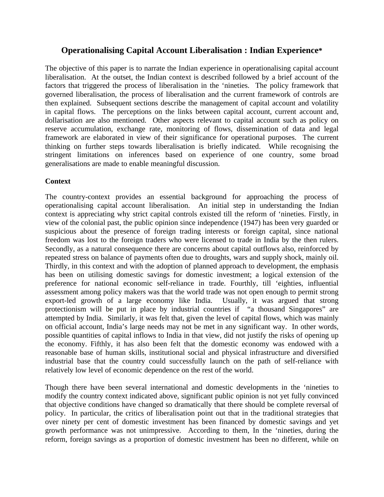# **Operationalising Capital Account Liberalisation : Indian Experience\***

The objective of this paper is to narrate the Indian experience in operationalising capital account liberalisation. At the outset, the Indian context is described followed by a brief account of the factors that triggered the process of liberalisation in the 'nineties. The policy framework that governed liberalisation, the process of liberalisation and the current framework of controls are then explained. Subsequent sections describe the management of capital account and volatility in capital flows. The perceptions on the links between capital account, current account and, dollarisation are also mentioned. Other aspects relevant to capital account such as policy on reserve accumulation, exchange rate, monitoring of flows, dissemination of data and legal framework are elaborated in view of their significance for operational purposes. The current thinking on further steps towards liberalisation is briefly indicated. While recognising the stringent limitations on inferences based on experience of one country, some broad generalisations are made to enable meaningful discussion.

# **Context**

The country-context provides an essential background for approaching the process of operationalising capital account liberalisation. An initial step in understanding the Indian context is appreciating why strict capital controls existed till the reform of 'nineties. Firstly, in view of the colonial past, the public opinion since independence (1947) has been very guarded or suspicious about the presence of foreign trading interests or foreign capital, since national freedom was lost to the foreign traders who were licensed to trade in India by the then rulers. Secondly, as a natural consequence there are concerns about capital outflows also, reinforced by repeated stress on balance of payments often due to droughts, wars and supply shock, mainly oil. Thirdly, in this context and with the adoption of planned approach to development, the emphasis has been on utilising domestic savings for domestic investment; a logical extension of the preference for national economic self-reliance in trade. Fourthly, till 'eighties, influential assessment among policy makers was that the world trade was not open enough to permit strong export-led growth of a large economy like India. Usually, it was argued that strong protectionism will be put in place by industrial countries if "a thousand Singapores" are attempted by India. Similarly, it was felt that, given the level of capital flows, which was mainly on official account, India's large needs may not be met in any significant way. In other words, possible quantities of capital inflows to India in that view, did not justify the risks of opening up the economy. Fifthly, it has also been felt that the domestic economy was endowed with a reasonable base of human skills, institutional social and physical infrastructure and diversified industrial base that the country could successfully launch on the path of self-reliance with relatively low level of economic dependence on the rest of the world.

Though there have been several international and domestic developments in the 'nineties to modify the country context indicated above, significant public opinion is not yet fully convinced that objective conditions have changed so dramatically that there should be complete reversal of policy. In particular, the critics of liberalisation point out that in the traditional strategies that over ninety per cent of domestic investment has been financed by domestic savings and yet growth performance was not unimpressive. According to them, In the 'nineties, during the reform, foreign savings as a proportion of domestic investment has been no different, while on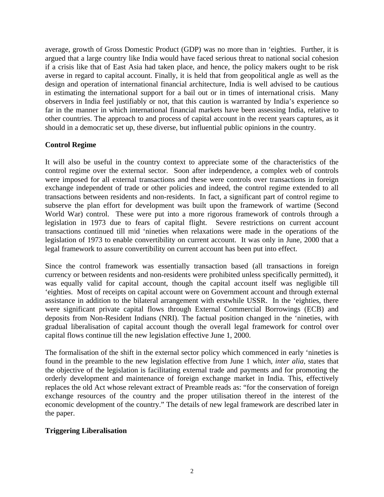average, growth of Gross Domestic Product (GDP) was no more than in 'eighties. Further, it is argued that a large country like India would have faced serious threat to national social cohesion if a crisis like that of East Asia had taken place, and hence, the policy makers ought to be risk averse in regard to capital account. Finally, it is held that from geopolitical angle as well as the design and operation of international financial architecture, India is well advised to be cautious in estimating the international support for a bail out or in times of international crisis. Many observers in India feel justifiably or not, that this caution is warranted by India's experience so far in the manner in which international financial markets have been assessing India, relative to other countries. The approach to and process of capital account in the recent years captures, as it should in a democratic set up, these diverse, but influential public opinions in the country.

# **Control Regime**

It will also be useful in the country context to appreciate some of the characteristics of the control regime over the external sector. Soon after independence, a complex web of controls were imposed for all external transactions and these were controls over transactions in foreign exchange independent of trade or other policies and indeed, the control regime extended to all transactions between residents and non-residents. In fact, a significant part of control regime to subserve the plan effort for development was built upon the framework of wartime (Second World War) control. These were put into a more rigorous framework of controls through a legislation in 1973 due to fears of capital flight. Severe restrictions on current account transactions continued till mid 'nineties when relaxations were made in the operations of the legislation of 1973 to enable convertibility on current account. It was only in June, 2000 that a legal framework to assure convertibility on current account has been put into effect.

Since the control framework was essentially transaction based (all transactions in foreign currency or between residents and non-residents were prohibited unless specifically permitted), it was equally valid for capital account, though the capital account itself was negligible till 'eighties. Most of receipts on capital account were on Government account and through external assistance in addition to the bilateral arrangement with erstwhile USSR. In the 'eighties, there were significant private capital flows through External Commercial Borrowings (ECB) and deposits from Non-Resident Indians (NRI). The factual position changed in the 'nineties, with gradual liberalisation of capital account though the overall legal framework for control over capital flows continue till the new legislation effective June 1, 2000.

The formalisation of the shift in the external sector policy which commenced in early 'nineties is found in the preamble to the new legislation effective from June 1 which, *inter alia,* states that the objective of the legislation is facilitating external trade and payments and for promoting the orderly development and maintenance of foreign exchange market in India. This, effectively replaces the old Act whose relevant extract of Preamble reads as: "for the conservation of foreign exchange resources of the country and the proper utilisation thereof in the interest of the economic development of the country." The details of new legal framework are described later in the paper.

# **Triggering Liberalisation**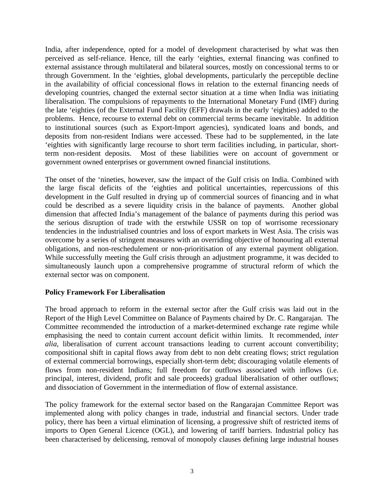India, after independence, opted for a model of development characterised by what was then perceived as self-reliance. Hence, till the early 'eighties, external financing was confined to external assistance through multilateral and bilateral sources, mostly on concessional terms to or through Government. In the 'eighties, global developments, particularly the perceptible decline in the availability of official concessional flows in relation to the external financing needs of developing countries, changed the external sector situation at a time when India was initiating liberalisation. The compulsions of repayments to the International Monetary Fund (IMF) during the late 'eighties (of the External Fund Facility (EFF) drawals in the early 'eighties) added to the problems. Hence, recourse to external debt on commercial terms became inevitable. In addition to institutional sources (such as Export-Import agencies), syndicated loans and bonds, and deposits from non-resident Indians were accessed. These had to be supplemented, in the late 'eighties with significantly large recourse to short term facilities including, in particular, shortterm non-resident deposits. Most of these liabilities were on account of government or government owned enterprises or government owned financial institutions.

The onset of the 'nineties, however, saw the impact of the Gulf crisis on India. Combined with the large fiscal deficits of the 'eighties and political uncertainties, repercussions of this development in the Gulf resulted in drying up of commercial sources of financing and in what could be described as a severe liquidity crisis in the balance of payments. Another global dimension that affected India's management of the balance of payments during this period was the serious disruption of trade with the erstwhile USSR on top of worrisome recessionary tendencies in the industrialised countries and loss of export markets in West Asia. The crisis was overcome by a series of stringent measures with an overriding objective of honouring all external obligations, and non-reschedulement or non-prioritisation of any external payment obligation. While successfully meeting the Gulf crisis through an adjustment programme, it was decided to simultaneously launch upon a comprehensive programme of structural reform of which the external sector was on component.

#### **Policy Framework For Liberalisation**

The broad approach to reform in the external sector after the Gulf crisis was laid out in the Report of the High Level Committee on Balance of Payments chaired by Dr. C. Rangarajan. The Committee recommended the introduction of a market-determined exchange rate regime while emphasising the need to contain current account deficit within limits. It recommended, *inter alia,* liberalisation of current account transactions leading to current account convertibility; compositional shift in capital flows away from debt to non debt creating flows; strict regulation of external commercial borrowings, especially short-term debt; discouraging volatile elements of flows from non-resident Indians; full freedom for outflows associated with inflows (i.e. principal, interest, dividend, profit and sale proceeds) gradual liberalisation of other outflows; and dissociation of Government in the intermediation of flow of external assistance.

The policy framework for the external sector based on the Rangarajan Committee Report was implemented along with policy changes in trade, industrial and financial sectors. Under trade policy, there has been a virtual elimination of licensing, a progressive shift of restricted items of imports to Open General Licence (OGL), and lowering of tariff barriers. Industrial policy has been characterised by delicensing, removal of monopoly clauses defining large industrial houses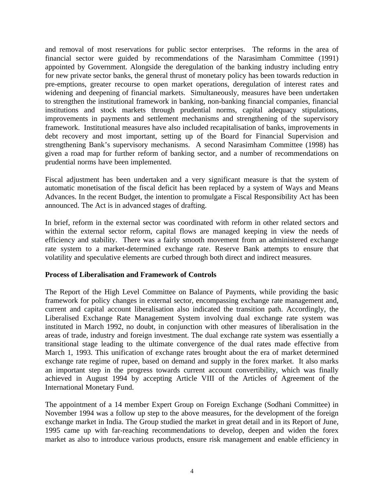and removal of most reservations for public sector enterprises. The reforms in the area of financial sector were guided by recommendations of the Narasimham Committee (1991) appointed by Government. Alongside the deregulation of the banking industry including entry for new private sector banks, the general thrust of monetary policy has been towards reduction in pre-emptions, greater recourse to open market operations, deregulation of interest rates and widening and deepening of financial markets. Simultaneously, measures have been undertaken to strengthen the institutional framework in banking, non-banking financial companies, financial institutions and stock markets through prudential norms, capital adequacy stipulations, improvements in payments and settlement mechanisms and strengthening of the supervisory framework. Institutional measures have also included recapitalisation of banks, improvements in debt recovery and most important, setting up of the Board for Financial Supervision and strengthening Bank's supervisory mechanisms. A second Narasimham Committee (1998) has given a road map for further reform of banking sector, and a number of recommendations on prudential norms have been implemented.

Fiscal adjustment has been undertaken and a very significant measure is that the system of automatic monetisation of the fiscal deficit has been replaced by a system of Ways and Means Advances. In the recent Budget, the intention to promulgate a Fiscal Responsibility Act has been announced. The Act is in advanced stages of drafting.

In brief, reform in the external sector was coordinated with reform in other related sectors and within the external sector reform, capital flows are managed keeping in view the needs of efficiency and stability. There was a fairly smooth movement from an administered exchange rate system to a market-determined exchange rate. Reserve Bank attempts to ensure that volatility and speculative elements are curbed through both direct and indirect measures.

#### **Process of Liberalisation and Framework of Controls**

The Report of the High Level Committee on Balance of Payments, while providing the basic framework for policy changes in external sector, encompassing exchange rate management and, current and capital account liberalisation also indicated the transition path. Accordingly, the Liberalised Exchange Rate Management System involving dual exchange rate system was instituted in March 1992, no doubt, in conjunction with other measures of liberalisation in the areas of trade, industry and foreign investment. The dual exchange rate system was essentially a transitional stage leading to the ultimate convergence of the dual rates made effective from March 1, 1993. This unification of exchange rates brought about the era of market determined exchange rate regime of rupee, based on demand and supply in the forex market. It also marks an important step in the progress towards current account convertibility, which was finally achieved in August 1994 by accepting Article VIII of the Articles of Agreement of the International Monetary Fund.

The appointment of a 14 member Expert Group on Foreign Exchange (Sodhani Committee) in November 1994 was a follow up step to the above measures, for the development of the foreign exchange market in India. The Group studied the market in great detail and in its Report of June, 1995 came up with far-reaching recommendations to develop, deepen and widen the forex market as also to introduce various products, ensure risk management and enable efficiency in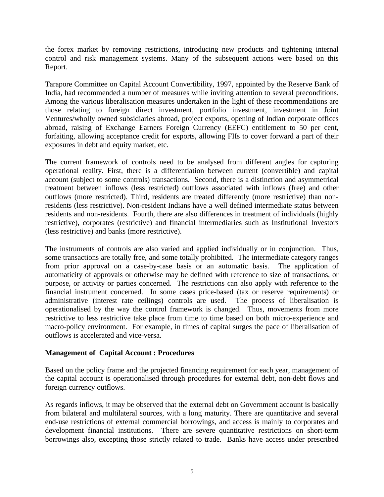the forex market by removing restrictions, introducing new products and tightening internal control and risk management systems. Many of the subsequent actions were based on this Report.

Tarapore Committee on Capital Account Convertibility, 1997, appointed by the Reserve Bank of India, had recommended a number of measures while inviting attention to several preconditions. Among the various liberalisation measures undertaken in the light of these recommendations are those relating to foreign direct investment, portfolio investment, investment in Joint Ventures/wholly owned subsidiaries abroad, project exports, opening of Indian corporate offices abroad, raising of Exchange Earners Foreign Currency (EEFC) entitlement to 50 per cent, forfaiting, allowing acceptance credit for exports, allowing FIIs to cover forward a part of their exposures in debt and equity market, etc.

The current framework of controls need to be analysed from different angles for capturing operational reality. First, there is a differentiation between current (convertible) and capital account (subject to some controls) transactions. Second, there is a distinction and asymmetrical treatment between inflows (less restricted) outflows associated with inflows (free) and other outflows (more restricted). Third, residents are treated differently (more restrictive) than nonresidents (less restrictive). Non-resident Indians have a well defined intermediate status between residents and non-residents. Fourth, there are also differences in treatment of individuals (highly restrictive), corporates (restrictive) and financial intermediaries such as Institutional Investors (less restrictive) and banks (more restrictive).

The instruments of controls are also varied and applied individually or in conjunction. Thus, some transactions are totally free, and some totally prohibited. The intermediate category ranges from prior approval on a case-by-case basis or an automatic basis. The application of automaticity of approvals or otherwise may be defined with reference to size of transactions, or purpose, or activity or parties concerned. The restrictions can also apply with reference to the financial instrument concerned. In some cases price-based (tax or reserve requirements) or administrative (interest rate ceilings) controls are used. The process of liberalisation is operationalised by the way the control framework is changed. Thus, movements from more restrictive to less restrictive take place from time to time based on both micro-experience and macro-policy environment. For example, in times of capital surges the pace of liberalisation of outflows is accelerated and vice-versa.

#### **Management of Capital Account : Procedures**

Based on the policy frame and the projected financing requirement for each year, management of the capital account is operationalised through procedures for external debt, non-debt flows and foreign currency outflows.

As regards inflows, it may be observed that the external debt on Government account is basically from bilateral and multilateral sources, with a long maturity. There are quantitative and several end-use restrictions of external commercial borrowings, and access is mainly to corporates and development financial institutions. There are severe quantitative restrictions on short-term borrowings also, excepting those strictly related to trade. Banks have access under prescribed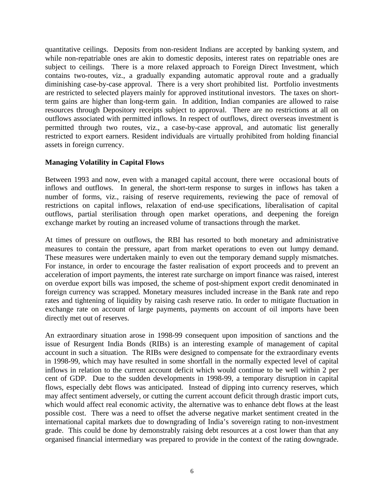quantitative ceilings. Deposits from non-resident Indians are accepted by banking system, and while non-repatriable ones are akin to domestic deposits, interest rates on repatriable ones are subject to ceilings. There is a more relaxed approach to Foreign Direct Investment, which contains two-routes, viz., a gradually expanding automatic approval route and a gradually diminishing case-by-case approval. There is a very short prohibited list. Portfolio investments are restricted to selected players mainly for approved institutional investors. The taxes on shortterm gains are higher than long-term gain. In addition, Indian companies are allowed to raise resources through Depository receipts subject to approval. There are no restrictions at all on outflows associated with permitted inflows. In respect of outflows, direct overseas investment is permitted through two routes, viz., a case-by-case approval, and automatic list generally restricted to export earners. Resident individuals are virtually prohibited from holding financial assets in foreign currency.

### **Managing Volatility in Capital Flows**

Between 1993 and now, even with a managed capital account, there were occasional bouts of inflows and outflows. In general, the short-term response to surges in inflows has taken a number of forms, viz., raising of reserve requirements, reviewing the pace of removal of restrictions on capital inflows, relaxation of end-use specifications, liberalisation of capital outflows, partial sterilisation through open market operations, and deepening the foreign exchange market by routing an increased volume of transactions through the market.

At times of pressure on outflows, the RBI has resorted to both monetary and administrative measures to contain the pressure, apart from market operations to even out lumpy demand. These measures were undertaken mainly to even out the temporary demand supply mismatches. For instance, in order to encourage the faster realisation of export proceeds and to prevent an acceleration of import payments, the interest rate surcharge on import finance was raised, interest on overdue export bills was imposed, the scheme of post-shipment export credit denominated in foreign currency was scrapped. Monetary measures included increase in the Bank rate and repo rates and tightening of liquidity by raising cash reserve ratio. In order to mitigate fluctuation in exchange rate on account of large payments, payments on account of oil imports have been directly met out of reserves.

An extraordinary situation arose in 1998-99 consequent upon imposition of sanctions and the issue of Resurgent India Bonds (RIBs) is an interesting example of management of capital account in such a situation. The RIBs were designed to compensate for the extraordinary events in 1998-99, which may have resulted in some shortfall in the normally expected level of capital inflows in relation to the current account deficit which would continue to be well within 2 per cent of GDP. Due to the sudden developments in 1998-99, a temporary disruption in capital flows, especially debt flows was anticipated. Instead of dipping into currency reserves, which may affect sentiment adversely, or cutting the current account deficit through drastic import cuts, which would affect real economic activity, the alternative was to enhance debt flows at the least possible cost. There was a need to offset the adverse negative market sentiment created in the international capital markets due to downgrading of India's sovereign rating to non-investment grade. This could be done by demonstrably raising debt resources at a cost lower than that any organised financial intermediary was prepared to provide in the context of the rating downgrade.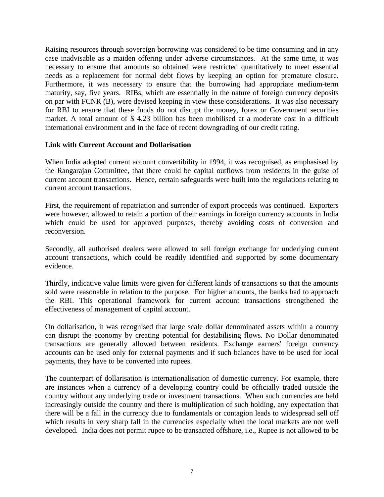Raising resources through sovereign borrowing was considered to be time consuming and in any case inadvisable as a maiden offering under adverse circumstances. At the same time, it was necessary to ensure that amounts so obtained were restricted quantitatively to meet essential needs as a replacement for normal debt flows by keeping an option for premature closure. Furthermore, it was necessary to ensure that the borrowing had appropriate medium-term maturity, say, five years. RIBs, which are essentially in the nature of foreign currency deposits on par with FCNR (B), were devised keeping in view these considerations. It was also necessary for RBI to ensure that these funds do not disrupt the money, forex or Government securities market. A total amount of \$ 4.23 billion has been mobilised at a moderate cost in a difficult international environment and in the face of recent downgrading of our credit rating.

#### **Link with Current Account and Dollarisation**

When India adopted current account convertibility in 1994, it was recognised, as emphasised by the Rangarajan Committee, that there could be capital outflows from residents in the guise of current account transactions. Hence, certain safeguards were built into the regulations relating to current account transactions.

First, the requirement of repatriation and surrender of export proceeds was continued. Exporters were however, allowed to retain a portion of their earnings in foreign currency accounts in India which could be used for approved purposes, thereby avoiding costs of conversion and reconversion.

Secondly, all authorised dealers were allowed to sell foreign exchange for underlying current account transactions, which could be readily identified and supported by some documentary evidence.

Thirdly, indicative value limits were given for different kinds of transactions so that the amounts sold were reasonable in relation to the purpose. For higher amounts, the banks had to approach the RBI. This operational framework for current account transactions strengthened the effectiveness of management of capital account.

On dollarisation, it was recognised that large scale dollar denominated assets within a country can disrupt the economy by creating potential for destabilising flows. No Dollar denominated transactions are generally allowed between residents. Exchange earners' foreign currency accounts can be used only for external payments and if such balances have to be used for local payments, they have to be converted into rupees.

The counterpart of dollarisation is internationalisation of domestic currency. For example, there are instances when a currency of a developing country could be officially traded outside the country without any underlying trade or investment transactions. When such currencies are held increasingly outside the country and there is multiplication of such holding, any expectation that there will be a fall in the currency due to fundamentals or contagion leads to widespread sell off which results in very sharp fall in the currencies especially when the local markets are not well developed. India does not permit rupee to be transacted offshore, i.e., Rupee is not allowed to be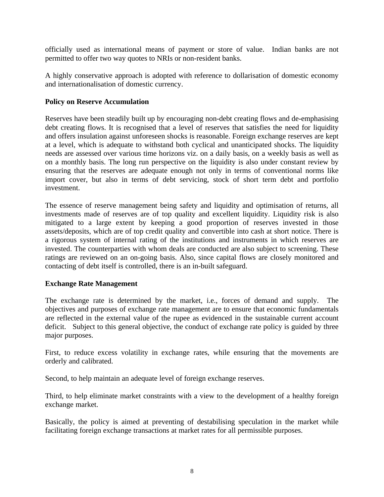officially used as international means of payment or store of value. Indian banks are not permitted to offer two way quotes to NRIs or non-resident banks.

A highly conservative approach is adopted with reference to dollarisation of domestic economy and internationalisation of domestic currency.

#### **Policy on Reserve Accumulation**

Reserves have been steadily built up by encouraging non-debt creating flows and de-emphasising debt creating flows. It is recognised that a level of reserves that satisfies the need for liquidity and offers insulation against unforeseen shocks is reasonable. Foreign exchange reserves are kept at a level, which is adequate to withstand both cyclical and unanticipated shocks. The liquidity needs are assessed over various time horizons viz. on a daily basis, on a weekly basis as well as on a monthly basis. The long run perspective on the liquidity is also under constant review by ensuring that the reserves are adequate enough not only in terms of conventional norms like import cover, but also in terms of debt servicing, stock of short term debt and portfolio investment.

The essence of reserve management being safety and liquidity and optimisation of returns, all investments made of reserves are of top quality and excellent liquidity. Liquidity risk is also mitigated to a large extent by keeping a good proportion of reserves invested in those assets/deposits, which are of top credit quality and convertible into cash at short notice. There is a rigorous system of internal rating of the institutions and instruments in which reserves are invested. The counterparties with whom deals are conducted are also subject to screening. These ratings are reviewed on an on-going basis. Also, since capital flows are closely monitored and contacting of debt itself is controlled, there is an in-built safeguard.

#### **Exchange Rate Management**

The exchange rate is determined by the market, i.e., forces of demand and supply. The objectives and purposes of exchange rate management are to ensure that economic fundamentals are reflected in the external value of the rupee as evidenced in the sustainable current account deficit. Subject to this general objective, the conduct of exchange rate policy is guided by three major purposes.

First, to reduce excess volatility in exchange rates, while ensuring that the movements are orderly and calibrated.

Second, to help maintain an adequate level of foreign exchange reserves.

Third, to help eliminate market constraints with a view to the development of a healthy foreign exchange market.

Basically, the policy is aimed at preventing of destabilising speculation in the market while facilitating foreign exchange transactions at market rates for all permissible purposes.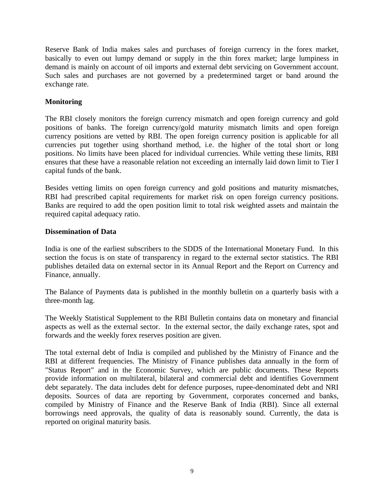Reserve Bank of India makes sales and purchases of foreign currency in the forex market, basically to even out lumpy demand or supply in the thin forex market; large lumpiness in demand is mainly on account of oil imports and external debt servicing on Government account. Such sales and purchases are not governed by a predetermined target or band around the exchange rate.

### **Monitoring**

The RBI closely monitors the foreign currency mismatch and open foreign currency and gold positions of banks. The foreign currency/gold maturity mismatch limits and open foreign currency positions are vetted by RBI. The open foreign currency position is applicable for all currencies put together using shorthand method, i.e. the higher of the total short or long positions. No limits have been placed for individual currencies. While vetting these limits, RBI ensures that these have a reasonable relation not exceeding an internally laid down limit to Tier I capital funds of the bank.

Besides vetting limits on open foreign currency and gold positions and maturity mismatches, RBI had prescribed capital requirements for market risk on open foreign currency positions. Banks are required to add the open position limit to total risk weighted assets and maintain the required capital adequacy ratio.

#### **Dissemination of Data**

India is one of the earliest subscribers to the SDDS of the International Monetary Fund. In this section the focus is on state of transparency in regard to the external sector statistics. The RBI publishes detailed data on external sector in its Annual Report and the Report on Currency and Finance, annually.

The Balance of Payments data is published in the monthly bulletin on a quarterly basis with a three-month lag.

The Weekly Statistical Supplement to the RBI Bulletin contains data on monetary and financial aspects as well as the external sector. In the external sector, the daily exchange rates, spot and forwards and the weekly forex reserves position are given.

The total external debt of India is compiled and published by the Ministry of Finance and the RBI at different frequencies. The Ministry of Finance publishes data annually in the form of "Status Report" and in the Economic Survey, which are public documents. These Reports provide information on multilateral, bilateral and commercial debt and identifies Government debt separately. The data includes debt for defence purposes, rupee-denominated debt and NRI deposits. Sources of data are reporting by Government, corporates concerned and banks, compiled by Ministry of Finance and the Reserve Bank of India (RBI). Since all external borrowings need approvals, the quality of data is reasonably sound. Currently, the data is reported on original maturity basis.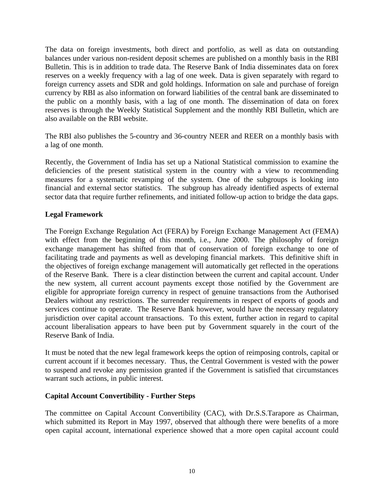The data on foreign investments, both direct and portfolio, as well as data on outstanding balances under various non-resident deposit schemes are published on a monthly basis in the RBI Bulletin. This is in addition to trade data. The Reserve Bank of India disseminates data on forex reserves on a weekly frequency with a lag of one week. Data is given separately with regard to foreign currency assets and SDR and gold holdings. Information on sale and purchase of foreign currency by RBI as also information on forward liabilities of the central bank are disseminated to the public on a monthly basis, with a lag of one month. The dissemination of data on forex reserves is through the Weekly Statistical Supplement and the monthly RBI Bulletin, which are also available on the RBI website.

The RBI also publishes the 5-country and 36-country NEER and REER on a monthly basis with a lag of one month.

Recently, the Government of India has set up a National Statistical commission to examine the deficiencies of the present statistical system in the country with a view to recommending measures for a systematic revamping of the system. One of the subgroups is looking into financial and external sector statistics. The subgroup has already identified aspects of external sector data that require further refinements, and initiated follow-up action to bridge the data gaps.

# **Legal Framework**

The Foreign Exchange Regulation Act (FERA) by Foreign Exchange Management Act (FEMA) with effect from the beginning of this month, i.e., June 2000. The philosophy of foreign exchange management has shifted from that of conservation of foreign exchange to one of facilitating trade and payments as well as developing financial markets. This definitive shift in the objectives of foreign exchange management will automatically get reflected in the operations of the Reserve Bank. There is a clear distinction between the current and capital account. Under the new system, all current account payments except those notified by the Government are eligible for appropriate foreign currency in respect of genuine transactions from the Authorised Dealers without any restrictions. The surrender requirements in respect of exports of goods and services continue to operate. The Reserve Bank however, would have the necessary regulatory jurisdiction over capital account transactions. To this extent, further action in regard to capital account liberalisation appears to have been put by Government squarely in the court of the Reserve Bank of India.

It must be noted that the new legal framework keeps the option of reimposing controls, capital or current account if it becomes necessary. Thus, the Central Government is vested with the power to suspend and revoke any permission granted if the Government is satisfied that circumstances warrant such actions, in public interest.

#### **Capital Account Convertibility - Further Steps**

The committee on Capital Account Convertibility (CAC), with Dr.S.S.Tarapore as Chairman, which submitted its Report in May 1997, observed that although there were benefits of a more open capital account, international experience showed that a more open capital account could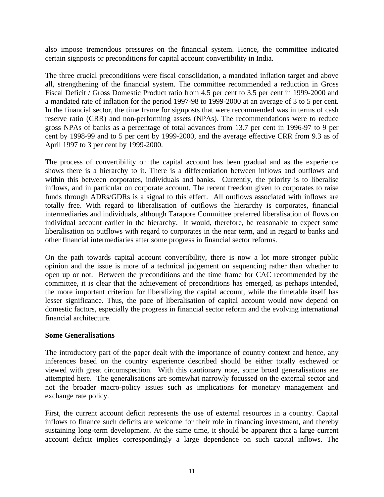also impose tremendous pressures on the financial system. Hence, the committee indicated certain signposts or preconditions for capital account convertibility in India.

The three crucial preconditions were fiscal consolidation, a mandated inflation target and above all, strengthening of the financial system. The committee recommended a reduction in Gross Fiscal Deficit / Gross Domestic Product ratio from 4.5 per cent to 3.5 per cent in 1999-2000 and a mandated rate of inflation for the period 1997-98 to 1999-2000 at an average of 3 to 5 per cent. In the financial sector, the time frame for signposts that were recommended was in terms of cash reserve ratio (CRR) and non-performing assets (NPAs). The recommendations were to reduce gross NPAs of banks as a percentage of total advances from 13.7 per cent in 1996-97 to 9 per cent by 1998-99 and to 5 per cent by 1999-2000, and the average effective CRR from 9.3 as of April 1997 to 3 per cent by 1999-2000.

The process of convertibility on the capital account has been gradual and as the experience shows there is a hierarchy to it. There is a differentiation between inflows and outflows and within this between corporates, individuals and banks. Currently, the priority is to liberalise inflows, and in particular on corporate account. The recent freedom given to corporates to raise funds through ADRs/GDRs is a signal to this effect. All outflows associated with inflows are totally free. With regard to liberalisation of outflows the hierarchy is corporates, financial intermediaries and individuals, although Tarapore Committee preferred liberalisation of flows on individual account earlier in the hierarchy. It would, therefore, be reasonable to expect some liberalisation on outflows with regard to corporates in the near term, and in regard to banks and other financial intermediaries after some progress in financial sector reforms.

On the path towards capital account convertibility, there is now a lot more stronger public opinion and the issue is more of a technical judgement on sequencing rather than whether to open up or not. Between the preconditions and the time frame for CAC recommended by the committee, it is clear that the achievement of preconditions has emerged, as perhaps intended, the more important criterion for liberalizing the capital account, while the timetable itself has lesser significance. Thus, the pace of liberalisation of capital account would now depend on domestic factors, especially the progress in financial sector reform and the evolving international financial architecture.

#### **Some Generalisations**

The introductory part of the paper dealt with the importance of country context and hence, any inferences based on the country experience described should be either totally eschewed or viewed with great circumspection. With this cautionary note, some broad generalisations are attempted here. The generalisations are somewhat narrowly focussed on the external sector and not the broader macro-policy issues such as implications for monetary management and exchange rate policy.

First, the current account deficit represents the use of external resources in a country. Capital inflows to finance such deficits are welcome for their role in financing investment, and thereby sustaining long-term development. At the same time, it should be apparent that a large current account deficit implies correspondingly a large dependence on such capital inflows. The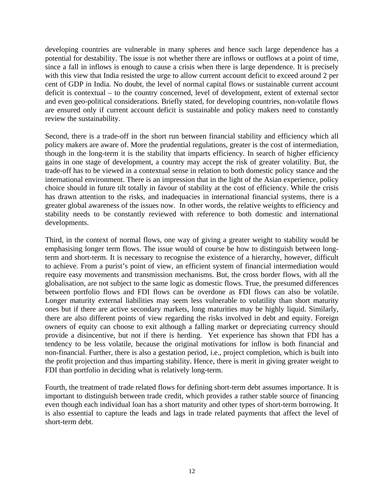developing countries are vulnerable in many spheres and hence such large dependence has a potential for destability. The issue is not whether there are inflows or outflows at a point of time, since a fall in inflows is enough to cause a crisis when there is large dependence. It is precisely with this view that India resisted the urge to allow current account deficit to exceed around 2 per cent of GDP in India. No doubt, the level of normal capital flows or sustainable current account deficit is contextual – to the country concerned, level of development, extent of external sector and even geo-political considerations. Briefly stated, for developing countries, non-volatile flows are ensured only if current account deficit is sustainable and policy makers need to constantly review the sustainability.

Second, there is a trade-off in the short run between financial stability and efficiency which all policy makers are aware of. More the prudential regulations, greater is the cost of intermediation, though in the long-term it is the stability that imparts efficiency. In search of higher efficiency gains in one stage of development, a country may accept the risk of greater volatility. But, the trade-off has to be viewed in a contextual sense in relation to both domestic policy stance and the international environment. There is an impression that in the light of the Asian experience, policy choice should in future tilt totally in favour of stability at the cost of efficiency. While the crisis has drawn attention to the risks, and inadequacies in international financial systems, there is a greater global awareness of the issues now. In other words, the relative weights to efficiency and stability needs to be constantly reviewed with reference to both domestic and international developments.

Third, in the context of normal flows, one way of giving a greater weight to stability would be emphasising longer term flows. The issue would of course be how to distinguish between longterm and short-term. It is necessary to recognise the existence of a hierarchy, however, difficult to achieve. From a purist's point of view, an efficient system of financial intermediation would require easy movements and transmission mechanisms. But, the cross border flows, with all the globalisation, are not subject to the same logic as domestic flows. True, the presumed differences between portfolio flows and FDI flows can be overdone as FDI flows can also be volatile. Longer maturity external liabilities may seem less vulnerable to volatility than short maturity ones but if there are active secondary markets, long maturities may be highly liquid. Similarly, there are also different points of view regarding the risks involved in debt and equity. Foreign owners of equity can choose to exit although a falling market or depreciating currency should provide a disincentive, but not if there is herding. Yet experience has shown that FDI has a tendency to be less volatile, because the original motivations for inflow is both financial and non-financial. Further, there is also a gestation period, i.e., project completion, which is built into the profit projection and thus imparting stability. Hence, there is merit in giving greater weight to FDI than portfolio in deciding what is relatively long-term.

Fourth, the treatment of trade related flows for defining short-term debt assumes importance. It is important to distinguish between trade credit, which provides a rather stable source of financing even though each individual loan has a short maturity and other types of short-term borrowing. It is also essential to capture the leads and lags in trade related payments that affect the level of short-term debt.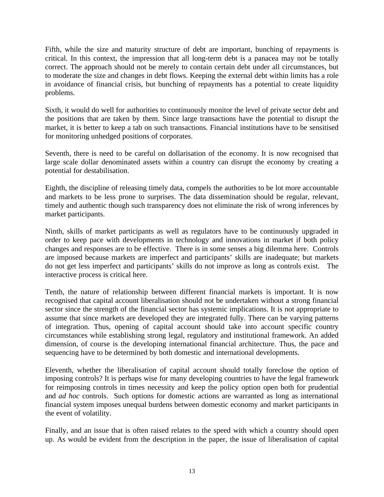Fifth, while the size and maturity structure of debt are important, bunching of repayments is critical. In this context, the impression that all long-term debt is a panacea may not be totally correct. The approach should not be merely to contain certain debt under all circumstances, but to moderate the size and changes in debt flows. Keeping the external debt within limits has a role in avoidance of financial crisis, but bunching of repayments has a potential to create liquidity problems.

Sixth, it would do well for authorities to continuously monitor the level of private sector debt and the positions that are taken by them. Since large transactions have the potential to disrupt the market, it is better to keep a tab on such transactions. Financial institutions have to be sensitised for monitoring unhedged positions of corporates.

Seventh, there is need to be careful on dollarisation of the economy. It is now recognised that large scale dollar denominated assets within a country can disrupt the economy by creating a potential for destabilisation.

Eighth, the discipline of releasing timely data, compels the authorities to be lot more accountable and markets to be less prone to surprises. The data dissemination should be regular, relevant, timely and authentic though such transparency does not eliminate the risk of wrong inferences by market participants.

Ninth, skills of market participants as well as regulators have to be continuously upgraded in order to keep pace with developments in technology and innovations in market if both policy changes and responses are to be effective. There is in some senses a big dilemma here. Controls are imposed because markets are imperfect and participants' skills are inadequate; but markets do not get less imperfect and participants' skills do not improve as long as controls exist. The interactive process is critical here.

Tenth, the nature of relationship between different financial markets is important. It is now recognised that capital account liberalisation should not be undertaken without a strong financial sector since the strength of the financial sector has systemic implications. It is not appropriate to assume that since markets are developed they are integrated fully. There can be varying patterns of integration. Thus, opening of capital account should take into account specific country circumstances while establishing strong legal, regulatory and institutional framework. An added dimension, of course is the developing international financial architecture. Thus, the pace and sequencing have to be determined by both domestic and international developments.

Eleventh, whether the liberalisation of capital account should totally foreclose the option of imposing controls? It is perhaps wise for many developing countries to have the legal framework for reimposing controls in times necessity and keep the policy option open both for prudential and *ad hoc* controls. Such options for domestic actions are warranted as long as international financial system imposes unequal burdens between domestic economy and market participants in the event of volatility.

Finally, and an issue that is often raised relates to the speed with which a country should open up. As would be evident from the description in the paper, the issue of liberalisation of capital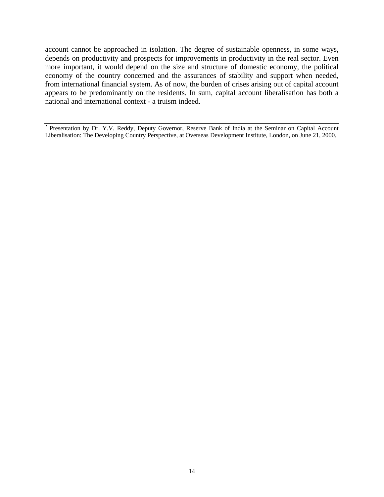account cannot be approached in isolation. The degree of sustainable openness, in some ways, depends on productivity and prospects for improvements in productivity in the real sector. Even more important, it would depend on the size and structure of domestic economy, the political economy of the country concerned and the assurances of stability and support when needed, from international financial system. As of now, the burden of crises arising out of capital account appears to be predominantly on the residents. In sum, capital account liberalisation has both a national and international context - a truism indeed.

• Presentation by Dr. Y.V. Reddy, Deputy Governor, Reserve Bank of India at the Seminar on Capital Account Liberalisation: The Developing Country Perspective, at Overseas Development Institute, London, on June 21, 2000.